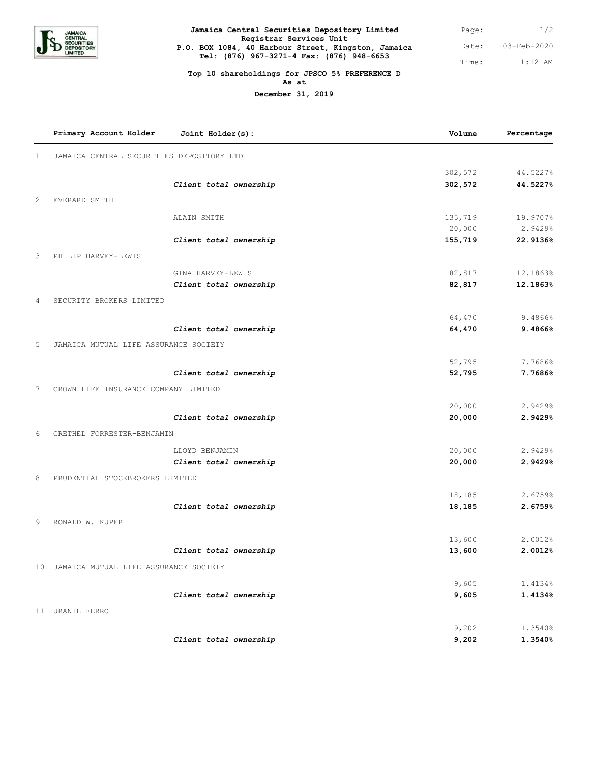

| Jamaica Central Securities Depository Limited                                                    | Page: | 1/2         |
|--------------------------------------------------------------------------------------------------|-------|-------------|
| Registrar Services Unit                                                                          |       |             |
| P.O. BOX 1084, 40 Harbour Street, Kingston, Jamaica<br>Tel: (876) 967-3271-4 Fax: (876) 948-6653 | Date: | 03-Feb-2020 |
|                                                                                                  | Time: | 11:12 AM    |

## **Top 10 shareholdings for JPSCO 5% PREFERENCE D As at**

**December 31, 2019**

|              | Primary Account Holder                    | Joint Holder(s):       | Volume  | Percentage |
|--------------|-------------------------------------------|------------------------|---------|------------|
| $\mathbf{1}$ | JAMAICA CENTRAL SECURITIES DEPOSITORY LTD |                        |         |            |
|              |                                           |                        | 302,572 | 44.5227%   |
|              |                                           | Client total ownership | 302,572 | 44.5227%   |
| 2            | EVERARD SMITH                             |                        |         |            |
|              |                                           | ALAIN SMITH            | 135,719 | 19.9707%   |
|              |                                           |                        | 20,000  | 2.9429%    |
|              |                                           | Client total ownership | 155,719 | 22.9136%   |
| 3            | PHILIP HARVEY-LEWIS                       |                        |         |            |
|              |                                           | GINA HARVEY-LEWIS      | 82,817  | 12.1863%   |
|              |                                           | Client total ownership | 82,817  | 12.1863%   |
| 4            | SECURITY BROKERS LIMITED                  |                        |         |            |
|              |                                           |                        | 64,470  | 9.4866%    |
|              |                                           | Client total ownership | 64,470  | 9.4866%    |
| 5            | JAMAICA MUTUAL LIFE ASSURANCE SOCIETY     |                        |         |            |
|              |                                           |                        | 52,795  | 7.7686%    |
|              |                                           | Client total ownership | 52,795  | 7.7686%    |
| 7            | CROWN LIFE INSURANCE COMPANY LIMITED      |                        |         |            |
|              |                                           |                        | 20,000  | 2.9429%    |
|              |                                           | Client total ownership | 20,000  | 2.9429%    |
| 6            | GRETHEL FORRESTER-BENJAMIN                |                        |         |            |
|              |                                           | LLOYD BENJAMIN         | 20,000  | 2.9429%    |
|              |                                           | Client total ownership | 20,000  | 2.9429%    |
| 8            | PRUDENTIAL STOCKBROKERS LIMITED           |                        |         |            |
|              |                                           |                        | 18,185  | 2.6759%    |
|              |                                           | Client total ownership | 18,185  | 2.6759%    |
| 9            | RONALD W. KUPER                           |                        |         |            |
|              |                                           |                        | 13,600  | 2.0012%    |
|              |                                           | Client total ownership | 13,600  | 2.0012%    |
|              | 10 JAMAICA MUTUAL LIFE ASSURANCE SOCIETY  |                        |         |            |
|              |                                           |                        | 9,605   | 1.4134%    |
|              |                                           | Client total ownership | 9,605   | 1.4134%    |
|              | 11 URANIE FERRO                           |                        |         |            |
|              |                                           |                        | 9,202   | 1.3540%    |
|              |                                           | Client total ownership | 9,202   | 1.3540%    |
|              |                                           |                        |         |            |